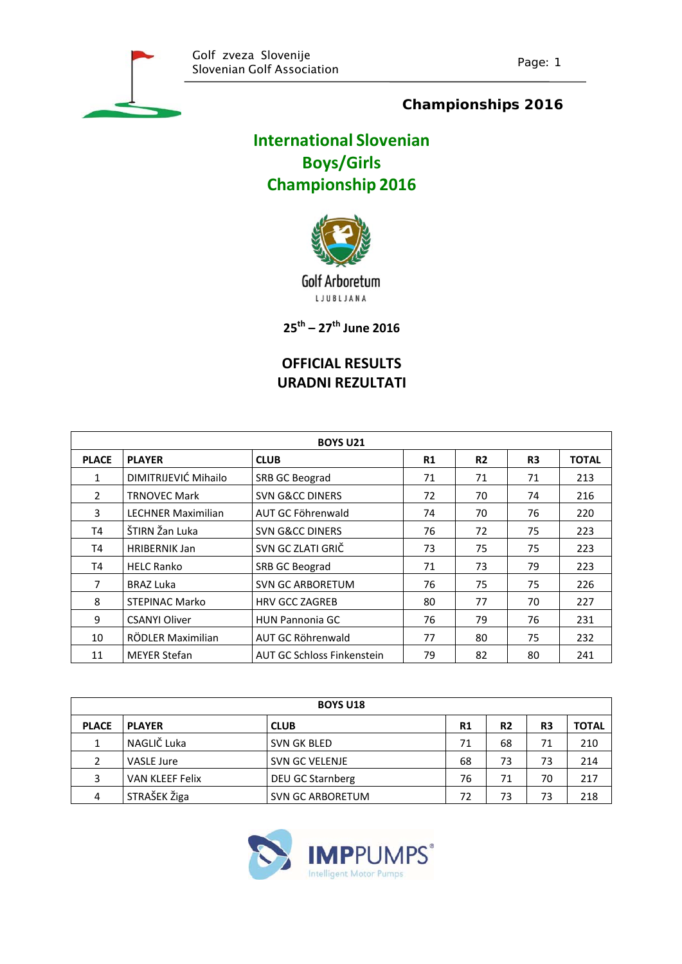

### **Championships 2016**

# **International Slovenian Boys/Girls Championship 2016**



Golf Arboretum L J U B L J A N A

**25th – 27th June 2016**

## **OFFICIAL RESULTS URADNI REZULTATI**

| <b>BOYS U21</b> |                           |                                   |    |           |                |              |  |
|-----------------|---------------------------|-----------------------------------|----|-----------|----------------|--------------|--|
| <b>PLACE</b>    | <b>PLAYER</b>             | <b>CLUB</b>                       | R1 | <b>R2</b> | R <sub>3</sub> | <b>TOTAL</b> |  |
| 1               | DIMITRIJEVIĆ Mihailo      | SRB GC Beograd                    | 71 | 71        | 71             | 213          |  |
| $\mathcal{P}$   | <b>TRNOVEC Mark</b>       | <b>SVN G&amp;CC DINERS</b>        | 72 | 70        | 74             | 216          |  |
| 3               | <b>LECHNER Maximilian</b> | AUT GC Föhrenwald                 | 74 | 70        | 76             | 220          |  |
| T4              | ŠTIRN Žan Luka            | <b>SVN G&amp;CC DINERS</b>        | 76 | 72        | 75             | 223          |  |
| T4              | <b>HRIBERNIK Jan</b>      | SVN GC ZLATI GRIČ                 | 73 | 75        | 75             | 223          |  |
| T4              | <b>HELC Ranko</b>         | SRB GC Beograd                    | 71 | 73        | 79             | 223          |  |
| 7               | <b>BRAZ Luka</b>          | <b>SVN GC ARBORETUM</b>           | 76 | 75        | 75             | 226          |  |
| 8               | <b>STEPINAC Marko</b>     | <b>HRV GCC ZAGREB</b>             | 80 | 77        | 70             | 227          |  |
| 9               | <b>CSANYI Oliver</b>      | <b>HUN Pannonia GC</b>            | 76 | 79        | 76             | 231          |  |
| 10              | RÖDLER Maximilian         | AUT GC Röhrenwald                 | 77 | 80        | 75             | 232          |  |
| 11              | <b>MEYER Stefan</b>       | <b>AUT GC Schloss Finkenstein</b> | 79 | 82        | 80             | 241          |  |

|              | <b>BOYS U18</b>        |                         |  |                |                |                |              |  |  |
|--------------|------------------------|-------------------------|--|----------------|----------------|----------------|--------------|--|--|
| <b>PLACE</b> | <b>PLAYER</b>          | <b>CLUB</b>             |  | R <sub>1</sub> | R <sub>2</sub> | R <sub>3</sub> | <b>TOTAL</b> |  |  |
| 1            | NAGLIČ Luka            | <b>SVN GK BLED</b>      |  | 71             | 68             | 71             | 210          |  |  |
|              | VASLE Jure             | <b>SVN GC VELENJE</b>   |  | 68             | 73             | 73             | 214          |  |  |
| 3            | <b>VAN KLEEF Felix</b> | DEU GC Starnberg        |  | 76             | 71             | 70             | 217          |  |  |
| 4            | STRAŠEK Žiga           | <b>SVN GC ARBORETUM</b> |  | 72             | 73             | 73             | 218          |  |  |

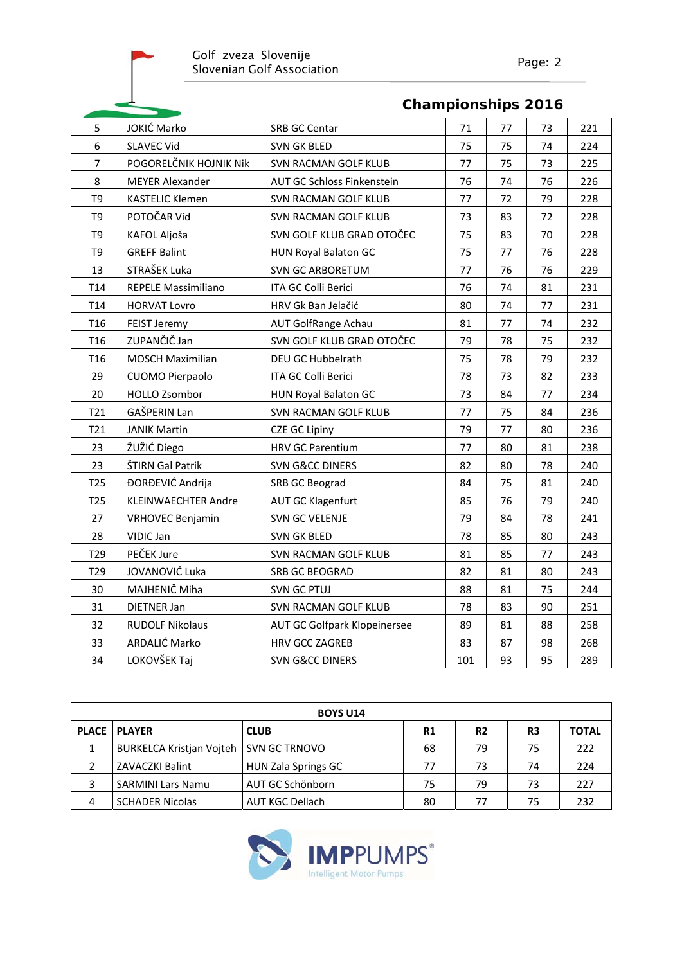|                 |                            | <b>Championships 2016</b>    |     |    |    |     |
|-----------------|----------------------------|------------------------------|-----|----|----|-----|
| 5               | JOKIĆ Marko                | SRB GC Centar                | 71  | 77 | 73 | 221 |
| 6               | <b>SLAVEC Vid</b>          | <b>SVN GK BLED</b>           | 75  | 75 | 74 | 224 |
| $\overline{7}$  | POGORELČNIK HOJNIK NIK     | <b>SVN RACMAN GOLF KLUB</b>  | 77  | 75 | 73 | 225 |
| 8               | <b>MEYER Alexander</b>     | AUT GC Schloss Finkenstein   | 76  | 74 | 76 | 226 |
| T <sub>9</sub>  | <b>KASTELIC Klemen</b>     | <b>SVN RACMAN GOLF KLUB</b>  | 77  | 72 | 79 | 228 |
| T <sub>9</sub>  | POTOČAR Vid                | SVN RACMAN GOLF KLUB         | 73  | 83 | 72 | 228 |
| T <sub>9</sub>  | KAFOL Aljoša               | SVN GOLF KLUB GRAD OTOČEC    | 75  | 83 | 70 | 228 |
| T <sub>9</sub>  | <b>GREFF Balint</b>        | HUN Royal Balaton GC         | 75  | 77 | 76 | 228 |
| 13              | STRAŠEK Luka               | SVN GC ARBORETUM             | 77  | 76 | 76 | 229 |
| T14             | REPELE Massimiliano        | ITA GC Colli Berici          | 76  | 74 | 81 | 231 |
| T14             | <b>HORVAT Lovro</b>        | HRV Gk Ban Jelačić           | 80  | 74 | 77 | 231 |
| T16             | FEIST Jeremy               | AUT GolfRange Achau          | 81  | 77 | 74 | 232 |
| T <sub>16</sub> | ZUPANČIČ Jan               | SVN GOLF KLUB GRAD OTOČEC    | 79  | 78 | 75 | 232 |
| T <sub>16</sub> | <b>MOSCH Maximilian</b>    | DEU GC Hubbelrath            | 75  | 78 | 79 | 232 |
| 29              | CUOMO Pierpaolo            | ITA GC Colli Berici          | 78  | 73 | 82 | 233 |
| 20              | <b>HOLLO Zsombor</b>       | <b>HUN Royal Balaton GC</b>  | 73  | 84 | 77 | 234 |
| T21             | GAŠPERIN Lan               | <b>SVN RACMAN GOLF KLUB</b>  | 77  | 75 | 84 | 236 |
| T21             | <b>JANIK Martin</b>        | <b>CZE GC Lipiny</b>         | 79  | 77 | 80 | 236 |
| 23              | ŽUŽIĆ Diego                | <b>HRV GC Parentium</b>      | 77  | 80 | 81 | 238 |
| 23              | ŠTIRN Gal Patrik           | <b>SVN G&amp;CC DINERS</b>   | 82  | 80 | 78 | 240 |
| T <sub>25</sub> | ĐORĐEVIĆ Andrija           | SRB GC Beograd               | 84  | 75 | 81 | 240 |
| T <sub>25</sub> | <b>KLEINWAECHTER Andre</b> | <b>AUT GC Klagenfurt</b>     | 85  | 76 | 79 | 240 |
| 27              | <b>VRHOVEC Benjamin</b>    | SVN GC VELENJE               | 79  | 84 | 78 | 241 |
| 28              | VIDIC Jan                  | <b>SVN GK BLED</b>           | 78  | 85 | 80 | 243 |
| T <sub>29</sub> | PEČEK Jure                 | SVN RACMAN GOLF KLUB         | 81  | 85 | 77 | 243 |
| T <sub>29</sub> | JOVANOVIĆ Luka             | <b>SRB GC BEOGRAD</b>        | 82  | 81 | 80 | 243 |
| 30              | MAJHENIČ Miha              | <b>SVN GC PTUJ</b>           | 88  | 81 | 75 | 244 |
| 31              | <b>DIETNER Jan</b>         | SVN RACMAN GOLF KLUB         | 78  | 83 | 90 | 251 |
| 32              | <b>RUDOLF Nikolaus</b>     | AUT GC Golfpark Klopeinersee | 89  | 81 | 88 | 258 |
| 33              | ARDALIĆ Marko              | <b>HRV GCC ZAGREB</b>        | 83  | 87 | 98 | 268 |
| 34              | LOKOVŠEK Taj               | <b>SVN G&amp;CC DINERS</b>   | 101 | 93 | 95 | 289 |

| <b>BOYS U14</b> |                          |                        |    |                |                |              |  |
|-----------------|--------------------------|------------------------|----|----------------|----------------|--------------|--|
|                 | <b>PLACE   PLAYER</b>    | <b>CLUB</b>            | R1 | R <sub>2</sub> | R <sub>3</sub> | <b>TOTAL</b> |  |
|                 | BURKELCA Kristjan Vojteh | SVN GC TRNOVO          | 68 | 79             | 75             | 222          |  |
|                 | <b>ZAVACZKI Balint</b>   | HUN Zala Springs GC    | 77 | 73             | 74             | 224          |  |
| 3               | <b>SARMINI Lars Namu</b> | AUT GC Schönborn       | 75 | 79             | 73             | 227          |  |
| 4               | <b>SCHADER Nicolas</b>   | <b>AUT KGC Dellach</b> | 80 | 77             | 75             | 232          |  |

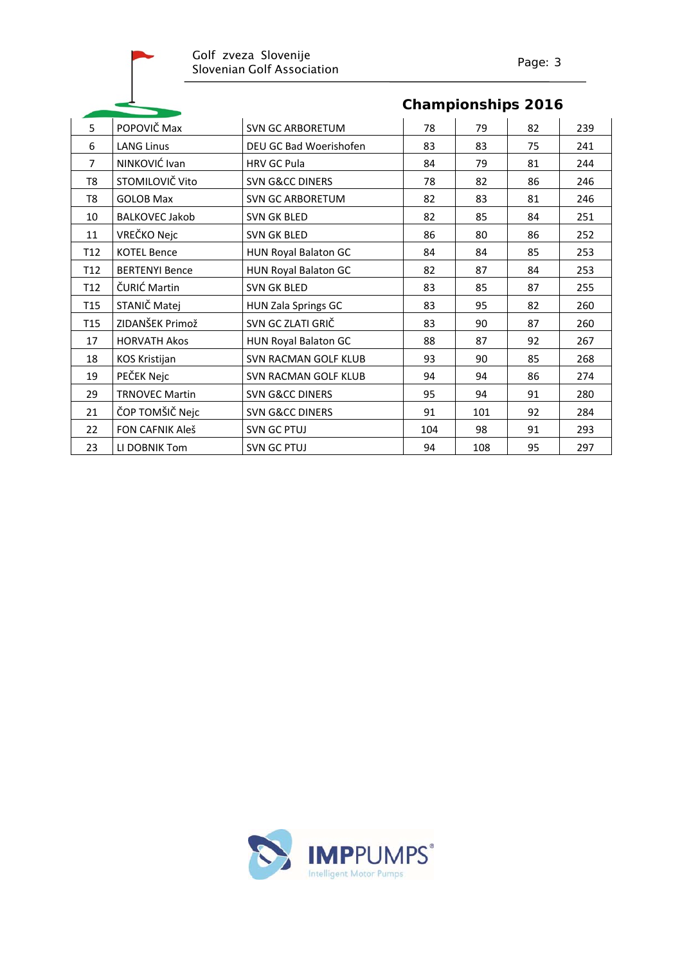| 5               | POPOVIČ Max            | <b>SVN GC ARBORETUM</b>     | 78  | 79  | 82 | 239 |
|-----------------|------------------------|-----------------------------|-----|-----|----|-----|
| 6               | <b>LANG Linus</b>      | DEU GC Bad Woerishofen      | 83  | 83  | 75 | 241 |
| $\overline{7}$  | NINKOVIĆ Ivan          | <b>HRV GC Pula</b>          | 84  | 79  | 81 | 244 |
| T <sub>8</sub>  | STOMILOVIČ Vito        | <b>SVN G&amp;CC DINERS</b>  | 78  | 82  | 86 | 246 |
| T <sub>8</sub>  | <b>GOLOB Max</b>       | <b>SVN GC ARBORETUM</b>     | 82  | 83  | 81 | 246 |
| 10              | <b>BALKOVEC Jakob</b>  | <b>SVN GK BLED</b>          | 82  | 85  | 84 | 251 |
| 11              | VREČKO Nejc            | <b>SVN GK BLED</b>          | 86  | 80  | 86 | 252 |
| T <sub>12</sub> | <b>KOTEL Bence</b>     | <b>HUN Royal Balaton GC</b> | 84  | 84  | 85 | 253 |
| T <sub>12</sub> | <b>BERTENYI Bence</b>  | HUN Royal Balaton GC        | 82  | 87  | 84 | 253 |
| T <sub>12</sub> | ČURIĆ Martin           | SVN GK BLED                 | 83  | 85  | 87 | 255 |
| T <sub>15</sub> | STANIČ Matej           | HUN Zala Springs GC         | 83  | 95  | 82 | 260 |
| T <sub>15</sub> | ZIDANŠEK Primož        | SVN GC ZLATI GRIČ           | 83  | 90  | 87 | 260 |
| 17              | <b>HORVATH Akos</b>    | <b>HUN Royal Balaton GC</b> | 88  | 87  | 92 | 267 |
| 18              | KOS Kristijan          | SVN RACMAN GOLF KLUB        | 93  | 90  | 85 | 268 |
| 19              | PEČEK Nejc             | SVN RACMAN GOLF KLUB        | 94  | 94  | 86 | 274 |
| 29              | <b>TRNOVEC Martin</b>  | <b>SVN G&amp;CC DINERS</b>  | 95  | 94  | 91 | 280 |
| 21              | ČOP TOMŠIČ Nejc        | <b>SVN G&amp;CC DINERS</b>  | 91  | 101 | 92 | 284 |
| 22              | <b>FON CAFNIK Aleš</b> | <b>SVN GC PTUJ</b>          | 104 | 98  | 91 | 293 |
| 23              | LI DOBNIK Tom          | <b>SVN GC PTUJ</b>          | 94  | 108 | 95 | 297 |

#### **Championships 2016**